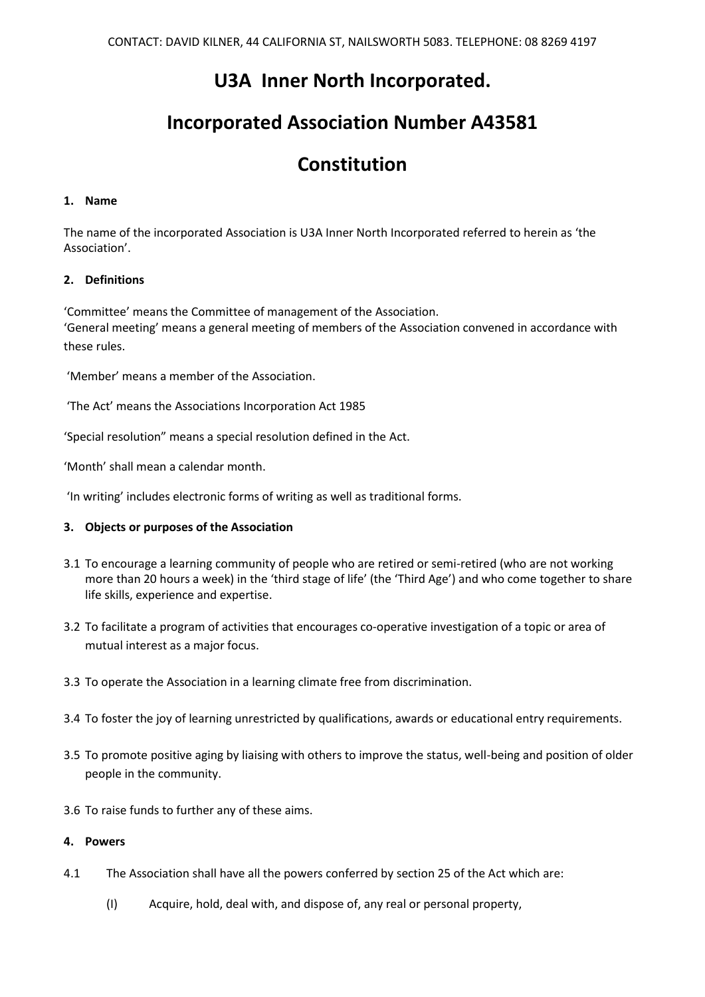# **U3A Inner North Incorporated.**

# **Incorporated Association Number A43581**

# **Constitution**

# **1. Name**

The name of the incorporated Association is U3A Inner North Incorporated referred to herein as 'the Association'.

# **2. Definitions**

'Committee' means the Committee of management of the Association. 'General meeting' means a general meeting of members of the Association convened in accordance with these rules.

'Member' means a member of the Association.

'The Act' means the Associations Incorporation Act 1985

'Special resolution" means a special resolution defined in the Act.

'Month' shall mean a calendar month.

'In writing' includes electronic forms of writing as well as traditional forms.

# **3. Objects or purposes of the Association**

- 3.1 To encourage a learning community of people who are retired or semi-retired (who are not working more than 20 hours a week) in the 'third stage of life' (the 'Third Age') and who come together to share life skills, experience and expertise.
- 3.2 To facilitate a program of activities that encourages co-operative investigation of a topic or area of mutual interest as a major focus.
- 3.3 To operate the Association in a learning climate free from discrimination.
- 3.4 To foster the joy of learning unrestricted by qualifications, awards or educational entry requirements.
- 3.5 To promote positive aging by liaising with others to improve the status, well-being and position of older people in the community.
- 3.6 To raise funds to further any of these aims.

## **4. Powers**

- 4.1 The Association shall have all the powers conferred by section 25 of the Act which are:
	- (I) Acquire, hold, deal with, and dispose of, any real or personal property,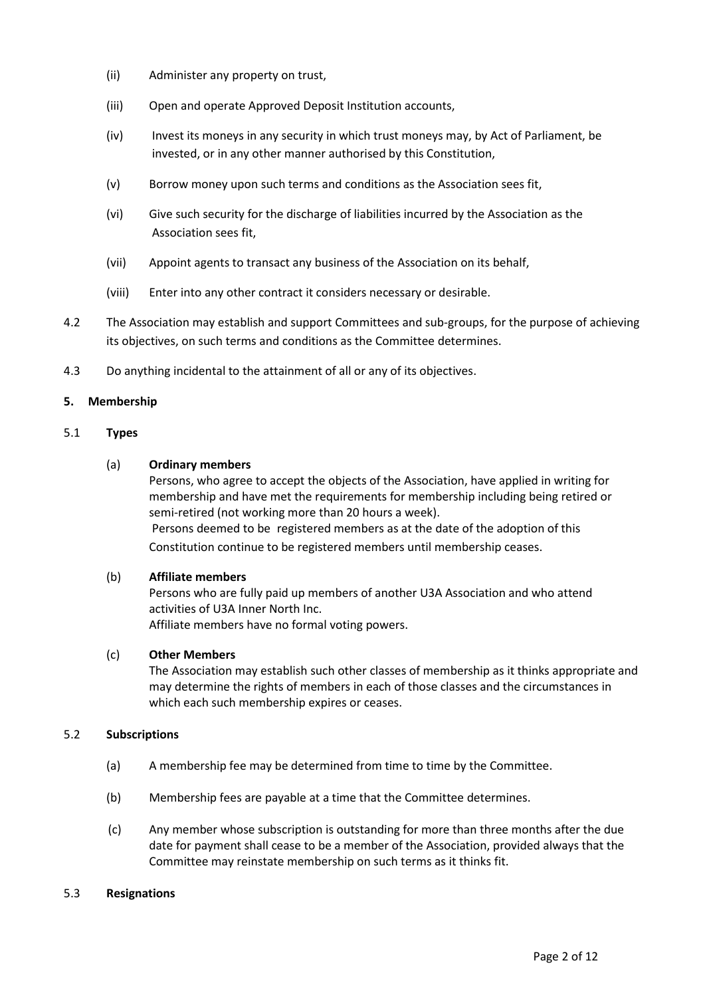- (ii) Administer any property on trust,
- (iii) Open and operate Approved Deposit Institution accounts,
- (iv) Invest its moneys in any security in which trust moneys may, by Act of Parliament, be invested, or in any other manner authorised by this Constitution,
- (v) Borrow money upon such terms and conditions as the Association sees fit,
- (vi) Give such security for the discharge of liabilities incurred by the Association as the Association sees fit,
- (vii) Appoint agents to transact any business of the Association on its behalf,
- (viii) Enter into any other contract it considers necessary or desirable.
- 4.2 The Association may establish and support Committees and sub-groups, for the purpose of achieving its objectives, on such terms and conditions as the Committee determines.
- 4.3 Do anything incidental to the attainment of all or any of its objectives.

## **5. Membership**

## 5.1 **Types**

## (a) **Ordinary members**

Persons, who agree to accept the objects of the Association, have applied in writing for membership and have met the requirements for membership including being retired or semi-retired (not working more than 20 hours a week). Persons deemed to be registered members as at the date of the adoption of this Constitution continue to be registered members until membership ceases.

## (b) **Affiliate members**

Persons who are fully paid up members of another U3A Association and who attend activities of U3A Inner North Inc. Affiliate members have no formal voting powers.

## (c) **Other Members**

The Association may establish such other classes of membership as it thinks appropriate and may determine the rights of members in each of those classes and the circumstances in which each such membership expires or ceases.

## 5.2 **Subscriptions**

- (a) A membership fee may be determined from time to time by the Committee.
- (b) Membership fees are payable at a time that the Committee determines.
- (c) Any member whose subscription is outstanding for more than three months after the due date for payment shall cease to be a member of the Association, provided always that the Committee may reinstate membership on such terms as it thinks fit.

#### 5.3 **Resignations**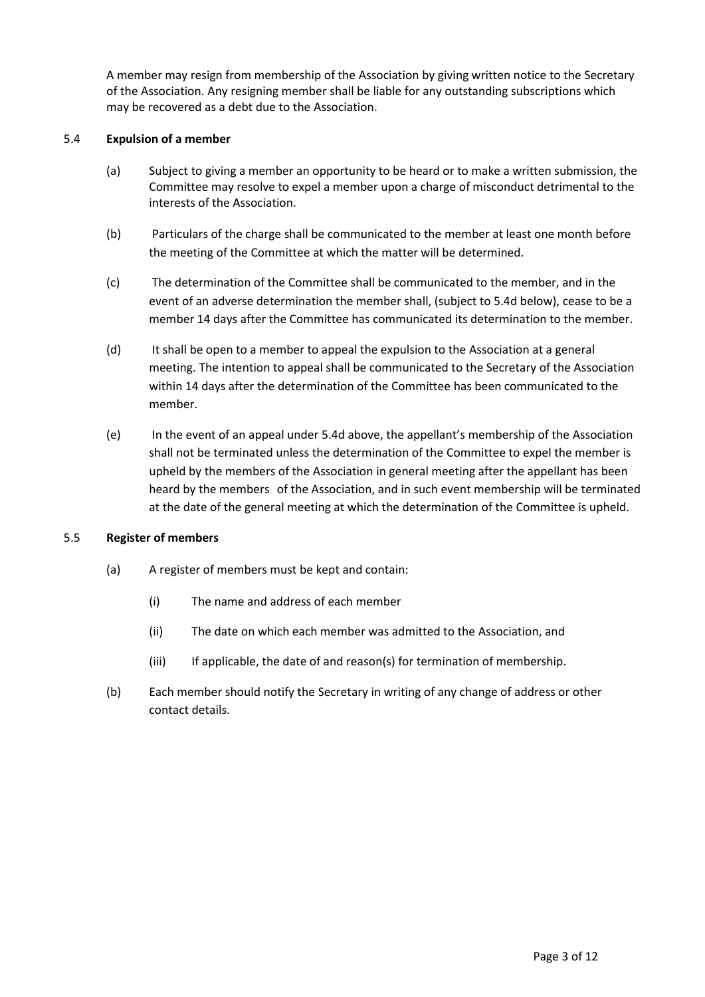A member may resign from membership of the Association by giving written notice to the Secretary of the Association. Any resigning member shall be liable for any outstanding subscriptions which may be recovered as a debt due to the Association.

# 5.4 **Expulsion of a member**

- (a) Subject to giving a member an opportunity to be heard or to make a written submission, the Committee may resolve to expel a member upon a charge of misconduct detrimental to the interests of the Association.
- (b) Particulars of the charge shall be communicated to the member at least one month before the meeting of the Committee at which the matter will be determined.
- (c) The determination of the Committee shall be communicated to the member, and in the event of an adverse determination the member shall, (subject to 5.4d below), cease to be a member 14 days after the Committee has communicated its determination to the member.
- (d) It shall be open to a member to appeal the expulsion to the Association at a general meeting. The intention to appeal shall be communicated to the Secretary of the Association within 14 days after the determination of the Committee has been communicated to the member.
- (e) In the event of an appeal under 5.4d above, the appellant's membership of the Association shall not be terminated unless the determination of the Committee to expel the member is upheld by the members of the Association in general meeting after the appellant has been heard by the members of the Association, and in such event membership will be terminated at the date of the general meeting at which the determination of the Committee is upheld.

## 5.5 **Register of members**

- (a) A register of members must be kept and contain:
	- (i) The name and address of each member
	- (ii) The date on which each member was admitted to the Association, and
	- (iii) If applicable, the date of and reason(s) for termination of membership.
- (b) Each member should notify the Secretary in writing of any change of address or other contact details.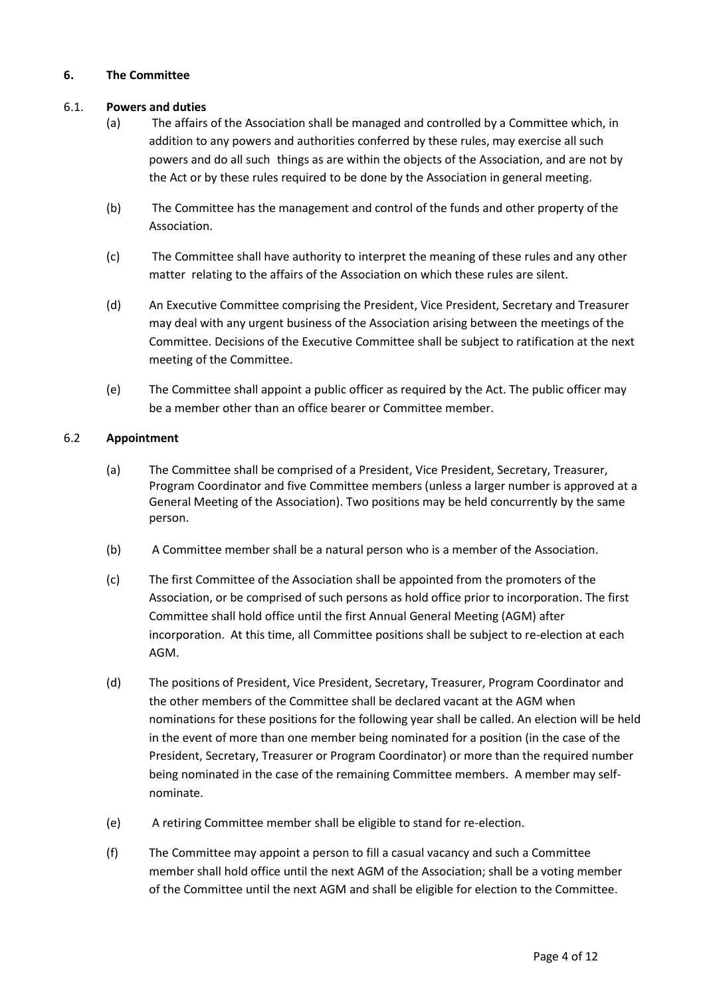# **6. The Committee**

# 6.1. **Powers and duties**

- (a) The affairs of the Association shall be managed and controlled by a Committee which, in addition to any powers and authorities conferred by these rules, may exercise all such powers and do all such things as are within the objects of the Association, and are not by the Act or by these rules required to be done by the Association in general meeting.
- (b) The Committee has the management and control of the funds and other property of the Association.
- (c) The Committee shall have authority to interpret the meaning of these rules and any other matter relating to the affairs of the Association on which these rules are silent.
- (d) An Executive Committee comprising the President, Vice President, Secretary and Treasurer may deal with any urgent business of the Association arising between the meetings of the Committee. Decisions of the Executive Committee shall be subject to ratification at the next meeting of the Committee.
- (e) The Committee shall appoint a public officer as required by the Act. The public officer may be a member other than an office bearer or Committee member.

# 6.2 **Appointment**

- (a) The Committee shall be comprised of a President, Vice President, Secretary, Treasurer, Program Coordinator and five Committee members (unless a larger number is approved at a General Meeting of the Association). Two positions may be held concurrently by the same person.
- (b) A Committee member shall be a natural person who is a member of the Association.
- (c) The first Committee of the Association shall be appointed from the promoters of the Association, or be comprised of such persons as hold office prior to incorporation. The first Committee shall hold office until the first Annual General Meeting (AGM) after incorporation. At this time, all Committee positions shall be subject to re-election at each AGM.
- (d) The positions of President, Vice President, Secretary, Treasurer, Program Coordinator and the other members of the Committee shall be declared vacant at the AGM when nominations for these positions for the following year shall be called. An election will be held in the event of more than one member being nominated for a position (in the case of the President, Secretary, Treasurer or Program Coordinator) or more than the required number being nominated in the case of the remaining Committee members. A member may selfnominate.
- (e) A retiring Committee member shall be eligible to stand for re-election.
- (f) The Committee may appoint a person to fill a casual vacancy and such a Committee member shall hold office until the next AGM of the Association; shall be a voting member of the Committee until the next AGM and shall be eligible for election to the Committee.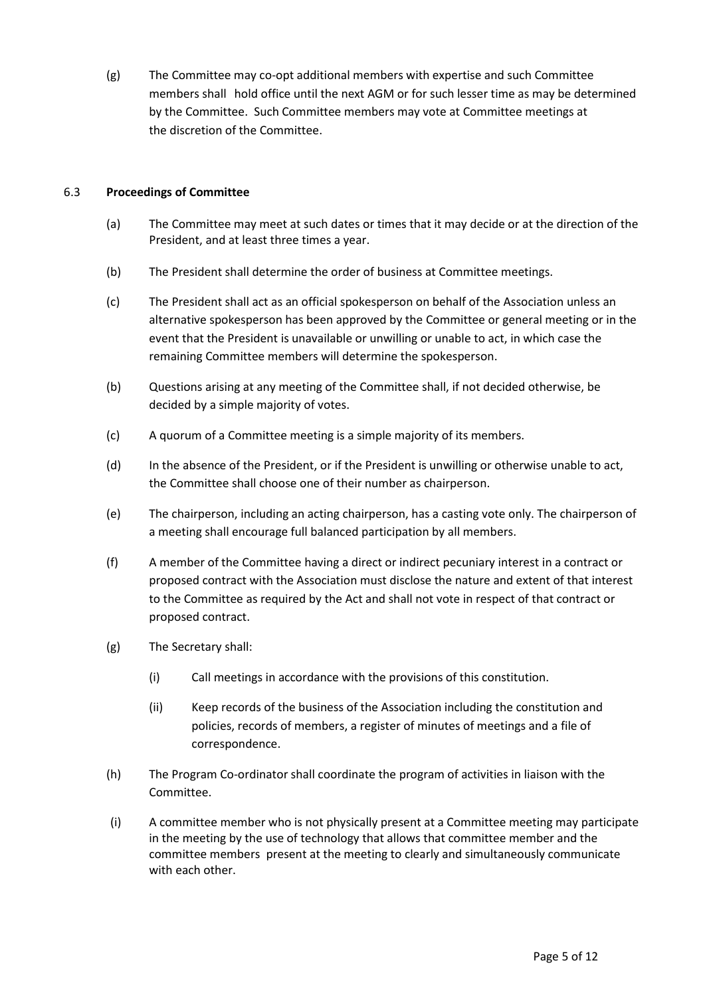(g) The Committee may co-opt additional members with expertise and such Committee members shall hold office until the next AGM or for such lesser time as may be determined by the Committee. Such Committee members may vote at Committee meetings at the discretion of the Committee.

# 6.3 **Proceedings of Committee**

- (a) The Committee may meet at such dates or times that it may decide or at the direction of the President, and at least three times a year.
- (b) The President shall determine the order of business at Committee meetings.
- (c) The President shall act as an official spokesperson on behalf of the Association unless an alternative spokesperson has been approved by the Committee or general meeting or in the event that the President is unavailable or unwilling or unable to act, in which case the remaining Committee members will determine the spokesperson.
- (b) Questions arising at any meeting of the Committee shall, if not decided otherwise, be decided by a simple majority of votes.
- (c) A quorum of a Committee meeting is a simple majority of its members.
- (d) In the absence of the President, or if the President is unwilling or otherwise unable to act, the Committee shall choose one of their number as chairperson.
- (e) The chairperson, including an acting chairperson, has a casting vote only. The chairperson of a meeting shall encourage full balanced participation by all members.
- (f) A member of the Committee having a direct or indirect pecuniary interest in a contract or proposed contract with the Association must disclose the nature and extent of that interest to the Committee as required by the Act and shall not vote in respect of that contract or proposed contract.
- (g) The Secretary shall:
	- (i) Call meetings in accordance with the provisions of this constitution.
	- (ii) Keep records of the business of the Association including the constitution and policies, records of members, a register of minutes of meetings and a file of correspondence.
- (h) The Program Co-ordinator shall coordinate the program of activities in liaison with the Committee.
- (i) A committee member who is not physically present at a Committee meeting may participate in the meeting by the use of technology that allows that committee member and the committee members present at the meeting to clearly and simultaneously communicate with each other.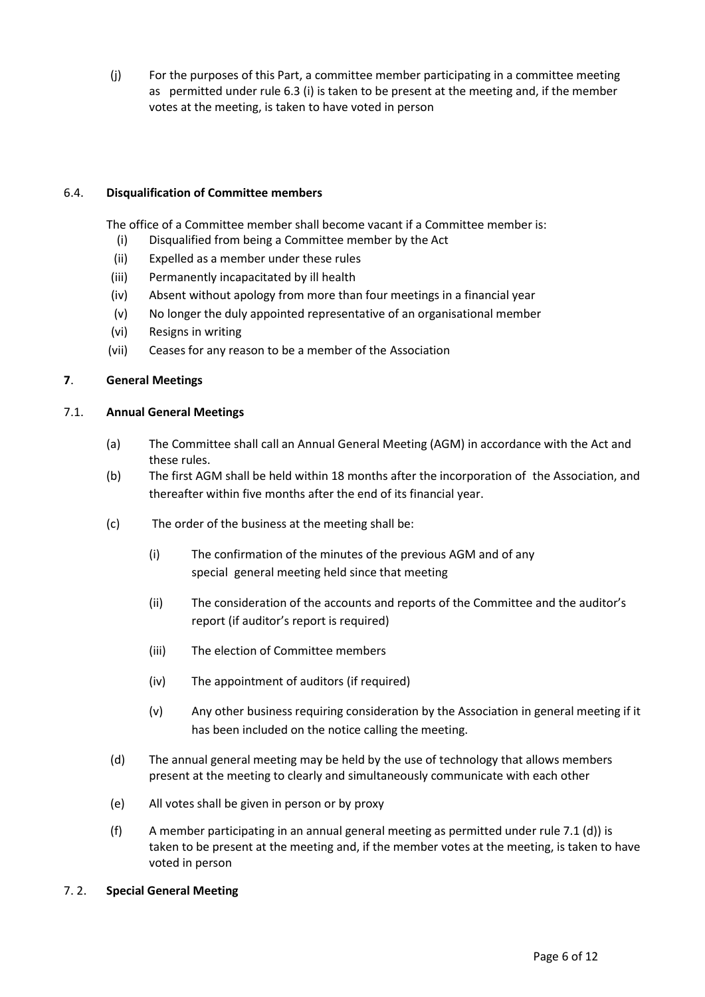(j) For the purposes of this Part, a committee member participating in a committee meeting as permitted under rule 6.3 (i) is taken to be present at the meeting and, if the member votes at the meeting, is taken to have voted in person

# 6.4. **Disqualification of Committee members**

The office of a Committee member shall become vacant if a Committee member is:

- (i) Disqualified from being a Committee member by the Act
- (ii) Expelled as a member under these rules
- (iii) Permanently incapacitated by ill health
- (iv) Absent without apology from more than four meetings in a financial year
- (v) No longer the duly appointed representative of an organisational member
- (vi) Resigns in writing
- (vii) Ceases for any reason to be a member of the Association

## **7**. **General Meetings**

#### 7.1. **Annual General Meetings**

- (a) The Committee shall call an Annual General Meeting (AGM) in accordance with the Act and these rules.
- (b) The first AGM shall be held within 18 months after the incorporation of the Association, and thereafter within five months after the end of its financial year.
- (c) The order of the business at the meeting shall be:
	- (i) The confirmation of the minutes of the previous AGM and of any special general meeting held since that meeting
	- (ii) The consideration of the accounts and reports of the Committee and the auditor's report (if auditor's report is required)
	- (iii) The election of Committee members
	- (iv) The appointment of auditors (if required)
	- (v) Any other business requiring consideration by the Association in general meeting if it has been included on the notice calling the meeting.
- (d) The annual general meeting may be held by the use of technology that allows members present at the meeting to clearly and simultaneously communicate with each other
- (e) All votes shall be given in person or by proxy
- (f) A member participating in an annual general meeting as permitted under rule 7.1 (d)) is taken to be present at the meeting and, if the member votes at the meeting, is taken to have voted in person
- 7. 2. **Special General Meeting**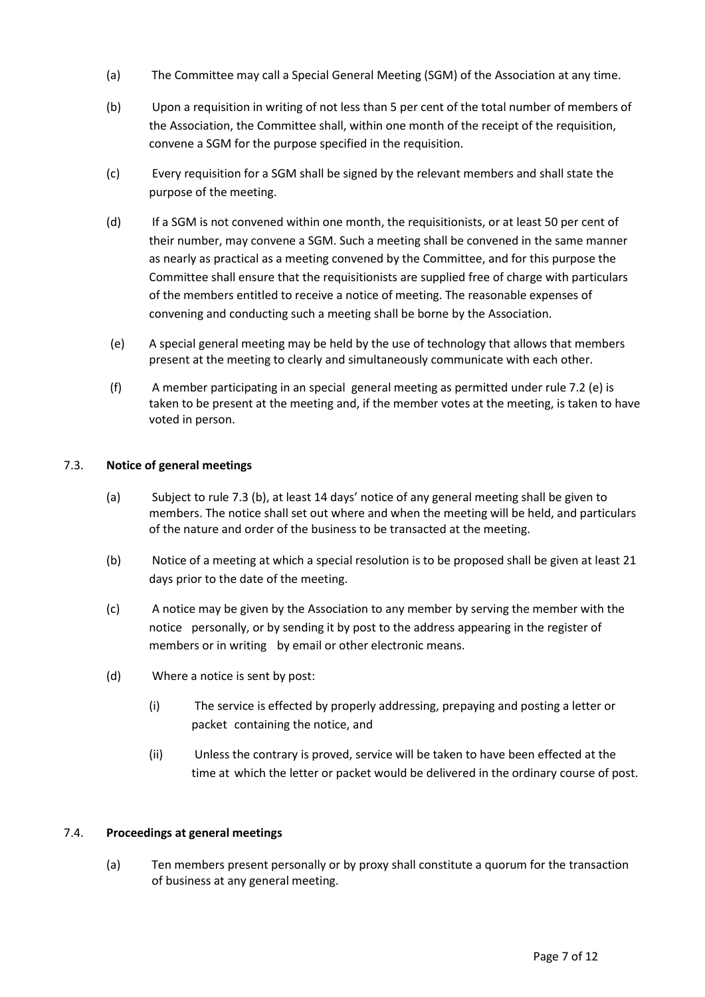- (a) The Committee may call a Special General Meeting (SGM) of the Association at any time.
- (b) Upon a requisition in writing of not less than 5 per cent of the total number of members of the Association, the Committee shall, within one month of the receipt of the requisition, convene a SGM for the purpose specified in the requisition.
- (c) Every requisition for a SGM shall be signed by the relevant members and shall state the purpose of the meeting.
- (d) If a SGM is not convened within one month, the requisitionists, or at least 50 per cent of their number, may convene a SGM. Such a meeting shall be convened in the same manner as nearly as practical as a meeting convened by the Committee, and for this purpose the Committee shall ensure that the requisitionists are supplied free of charge with particulars of the members entitled to receive a notice of meeting. The reasonable expenses of convening and conducting such a meeting shall be borne by the Association.
- (e) A special general meeting may be held by the use of technology that allows that members present at the meeting to clearly and simultaneously communicate with each other.
- (f) A member participating in an special general meeting as permitted under rule 7.2 (e) is taken to be present at the meeting and, if the member votes at the meeting, is taken to have voted in person.

# 7.3. **Notice of general meetings**

- (a) Subject to rule 7.3 (b), at least 14 days' notice of any general meeting shall be given to members. The notice shall set out where and when the meeting will be held, and particulars of the nature and order of the business to be transacted at the meeting.
- (b) Notice of a meeting at which a special resolution is to be proposed shall be given at least 21 days prior to the date of the meeting.
- (c) A notice may be given by the Association to any member by serving the member with the notice personally, or by sending it by post to the address appearing in the register of members or in writing by email or other electronic means.
- (d) Where a notice is sent by post:
	- (i) The service is effected by properly addressing, prepaying and posting a letter or packet containing the notice, and
	- (ii) Unless the contrary is proved, service will be taken to have been effected at the time at which the letter or packet would be delivered in the ordinary course of post.

# 7.4. **Proceedings at general meetings**

(a) Ten members present personally or by proxy shall constitute a quorum for the transaction of business at any general meeting.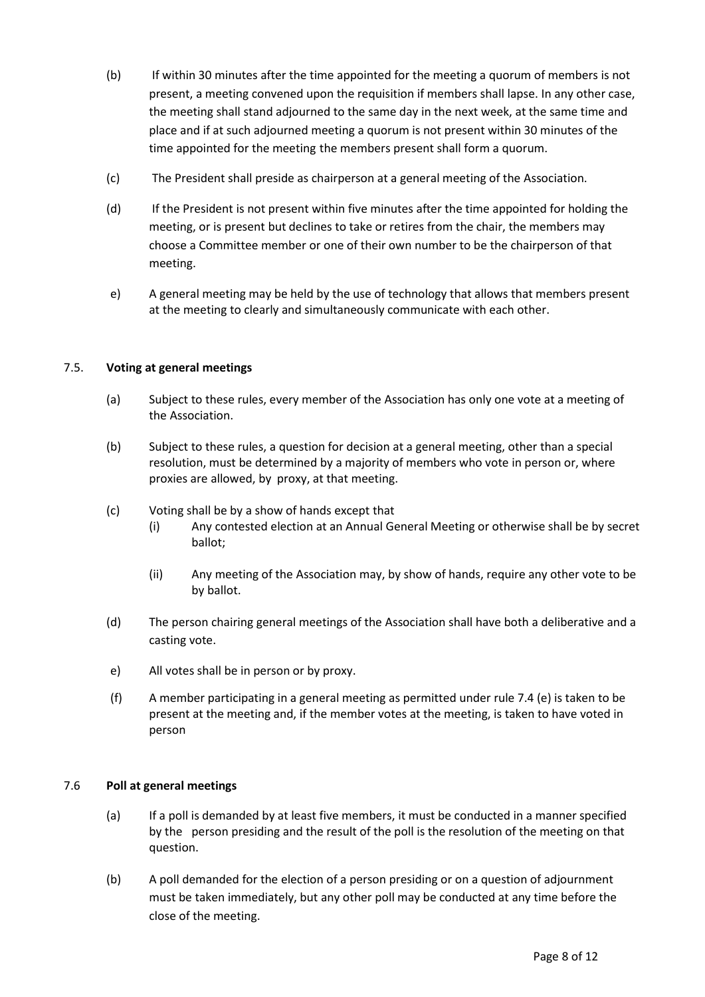- (b) If within 30 minutes after the time appointed for the meeting a quorum of members is not present, a meeting convened upon the requisition if members shall lapse. In any other case, the meeting shall stand adjourned to the same day in the next week, at the same time and place and if at such adjourned meeting a quorum is not present within 30 minutes of the time appointed for the meeting the members present shall form a quorum.
- (c) The President shall preside as chairperson at a general meeting of the Association.
- (d) If the President is not present within five minutes after the time appointed for holding the meeting, or is present but declines to take or retires from the chair, the members may choose a Committee member or one of their own number to be the chairperson of that meeting.
- e) A general meeting may be held by the use of technology that allows that members present at the meeting to clearly and simultaneously communicate with each other.

## 7.5. **Voting at general meetings**

- (a) Subject to these rules, every member of the Association has only one vote at a meeting of the Association.
- (b) Subject to these rules, a question for decision at a general meeting, other than a special resolution, must be determined by a majority of members who vote in person or, where proxies are allowed, by proxy, at that meeting.
- (c) Voting shall be by a show of hands except that
	- (i) Any contested election at an Annual General Meeting or otherwise shall be by secret ballot;
	- (ii) Any meeting of the Association may, by show of hands, require any other vote to be by ballot.
- (d) The person chairing general meetings of the Association shall have both a deliberative and a casting vote.
- e) All votes shall be in person or by proxy.
- (f) A member participating in a general meeting as permitted under rule 7.4 (e) is taken to be present at the meeting and, if the member votes at the meeting, is taken to have voted in person

# 7.6 **Poll at general meetings**

- (a) If a poll is demanded by at least five members, it must be conducted in a manner specified by the person presiding and the result of the poll is the resolution of the meeting on that question.
- (b) A poll demanded for the election of a person presiding or on a question of adjournment must be taken immediately, but any other poll may be conducted at any time before the close of the meeting.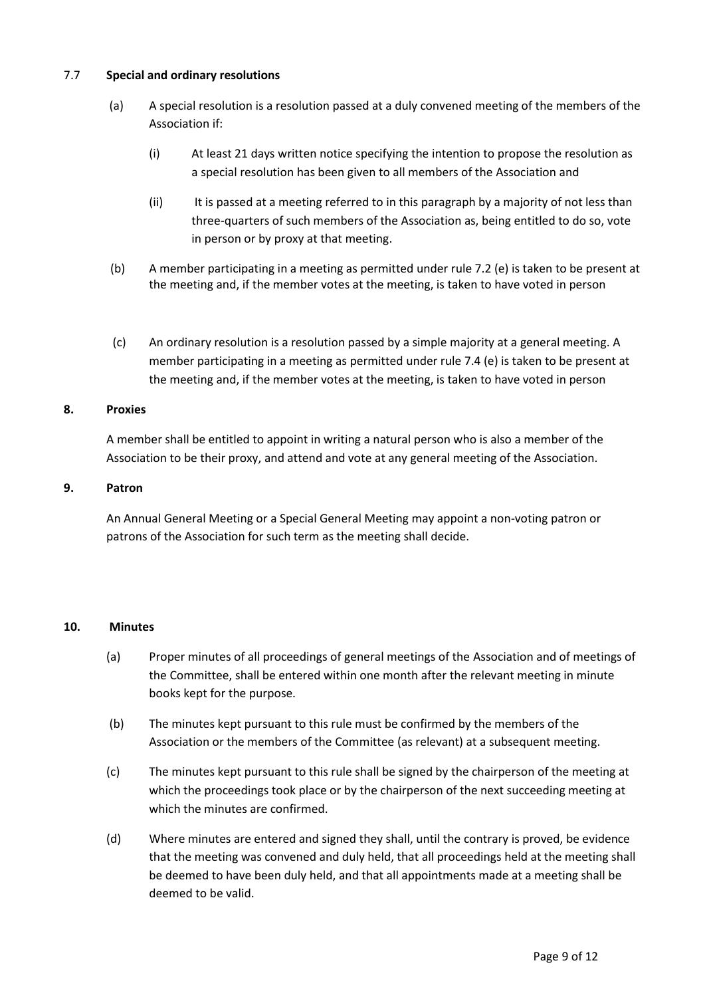# 7.7 **Special and ordinary resolutions**

- (a) A special resolution is a resolution passed at a duly convened meeting of the members of the Association if:
	- (i) At least 21 days written notice specifying the intention to propose the resolution as a special resolution has been given to all members of the Association and
	- (ii) It is passed at a meeting referred to in this paragraph by a majority of not less than three-quarters of such members of the Association as, being entitled to do so, vote in person or by proxy at that meeting.
- (b) A member participating in a meeting as permitted under rule 7.2 (e) is taken to be present at the meeting and, if the member votes at the meeting, is taken to have voted in person
- (c) An ordinary resolution is a resolution passed by a simple majority at a general meeting. A member participating in a meeting as permitted under rule 7.4 (e) is taken to be present at the meeting and, if the member votes at the meeting, is taken to have voted in person

# **8. Proxies**

A member shall be entitled to appoint in writing a natural person who is also a member of the Association to be their proxy, and attend and vote at any general meeting of the Association.

# **9. Patron**

An Annual General Meeting or a Special General Meeting may appoint a non-voting patron or patrons of the Association for such term as the meeting shall decide.

## **10. Minutes**

- (a) Proper minutes of all proceedings of general meetings of the Association and of meetings of the Committee, shall be entered within one month after the relevant meeting in minute books kept for the purpose.
- (b) The minutes kept pursuant to this rule must be confirmed by the members of the Association or the members of the Committee (as relevant) at a subsequent meeting.
- (c) The minutes kept pursuant to this rule shall be signed by the chairperson of the meeting at which the proceedings took place or by the chairperson of the next succeeding meeting at which the minutes are confirmed.
- (d) Where minutes are entered and signed they shall, until the contrary is proved, be evidence that the meeting was convened and duly held, that all proceedings held at the meeting shall be deemed to have been duly held, and that all appointments made at a meeting shall be deemed to be valid.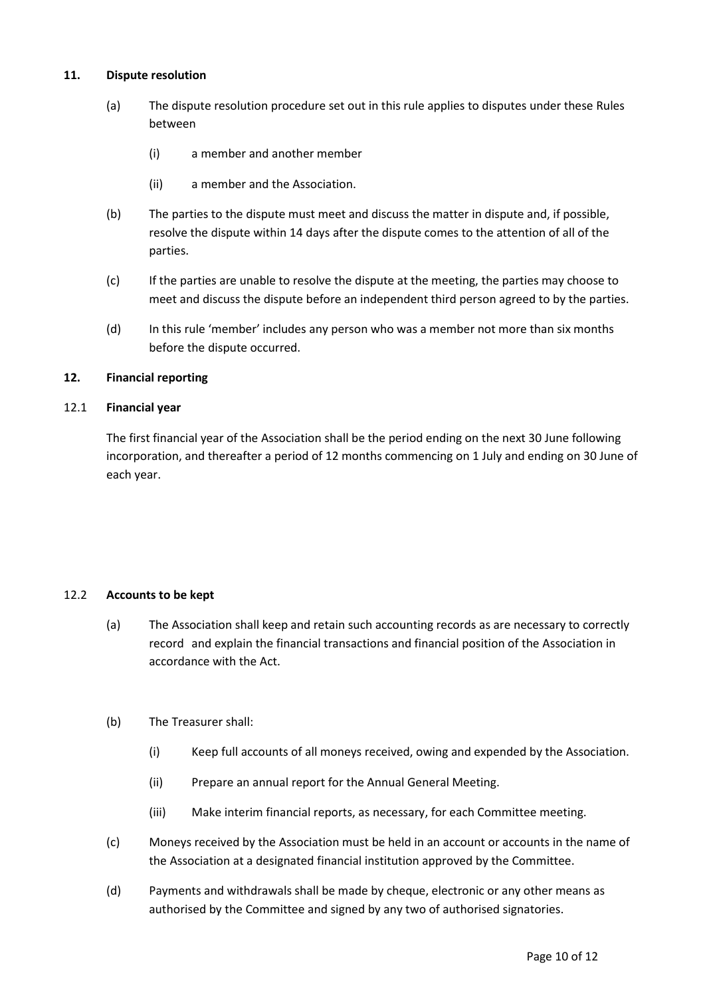# **11. Dispute resolution**

- (a) The dispute resolution procedure set out in this rule applies to disputes under these Rules between
	- (i) a member and another member
	- (ii) a member and the Association.
- (b) The parties to the dispute must meet and discuss the matter in dispute and, if possible, resolve the dispute within 14 days after the dispute comes to the attention of all of the parties.
- (c) If the parties are unable to resolve the dispute at the meeting, the parties may choose to meet and discuss the dispute before an independent third person agreed to by the parties.
- (d) In this rule 'member' includes any person who was a member not more than six months before the dispute occurred.

# **12. Financial reporting**

## 12.1 **Financial year**

The first financial year of the Association shall be the period ending on the next 30 June following incorporation, and thereafter a period of 12 months commencing on 1 July and ending on 30 June of each year.

## 12.2 **Accounts to be kept**

(a) The Association shall keep and retain such accounting records as are necessary to correctly record and explain the financial transactions and financial position of the Association in accordance with the Act.

## (b) The Treasurer shall:

- (i) Keep full accounts of all moneys received, owing and expended by the Association.
- (ii) Prepare an annual report for the Annual General Meeting.
- (iii) Make interim financial reports, as necessary, for each Committee meeting.
- (c) Moneys received by the Association must be held in an account or accounts in the name of the Association at a designated financial institution approved by the Committee.
- (d) Payments and withdrawals shall be made by cheque, electronic or any other means as authorised by the Committee and signed by any two of authorised signatories.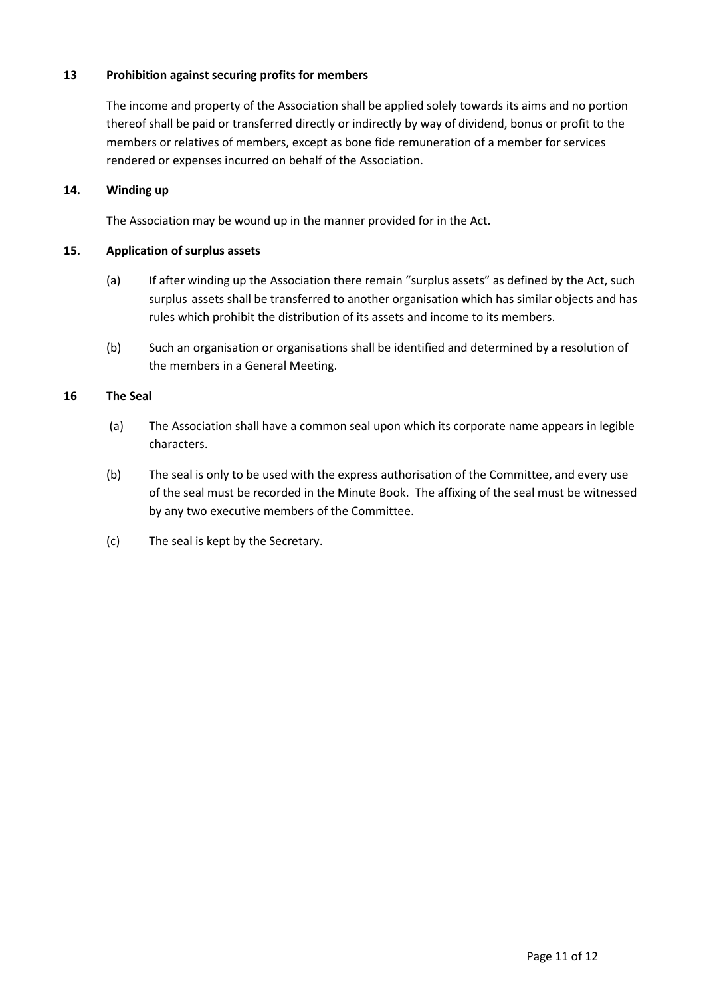# **13 Prohibition against securing profits for members**

The income and property of the Association shall be applied solely towards its aims and no portion thereof shall be paid or transferred directly or indirectly by way of dividend, bonus or profit to the members or relatives of members, except as bone fide remuneration of a member for services rendered or expenses incurred on behalf of the Association.

# **14. Winding up**

**T**he Association may be wound up in the manner provided for in the Act.

# **15. Application of surplus assets**

- (a) If after winding up the Association there remain "surplus assets" as defined by the Act, such surplus assets shall be transferred to another organisation which has similar objects and has rules which prohibit the distribution of its assets and income to its members.
- (b) Such an organisation or organisations shall be identified and determined by a resolution of the members in a General Meeting.

# **16 The Seal**

- (a) The Association shall have a common seal upon which its corporate name appears in legible characters.
- (b) The seal is only to be used with the express authorisation of the Committee, and every use of the seal must be recorded in the Minute Book. The affixing of the seal must be witnessed by any two executive members of the Committee.
- (c) The seal is kept by the Secretary.